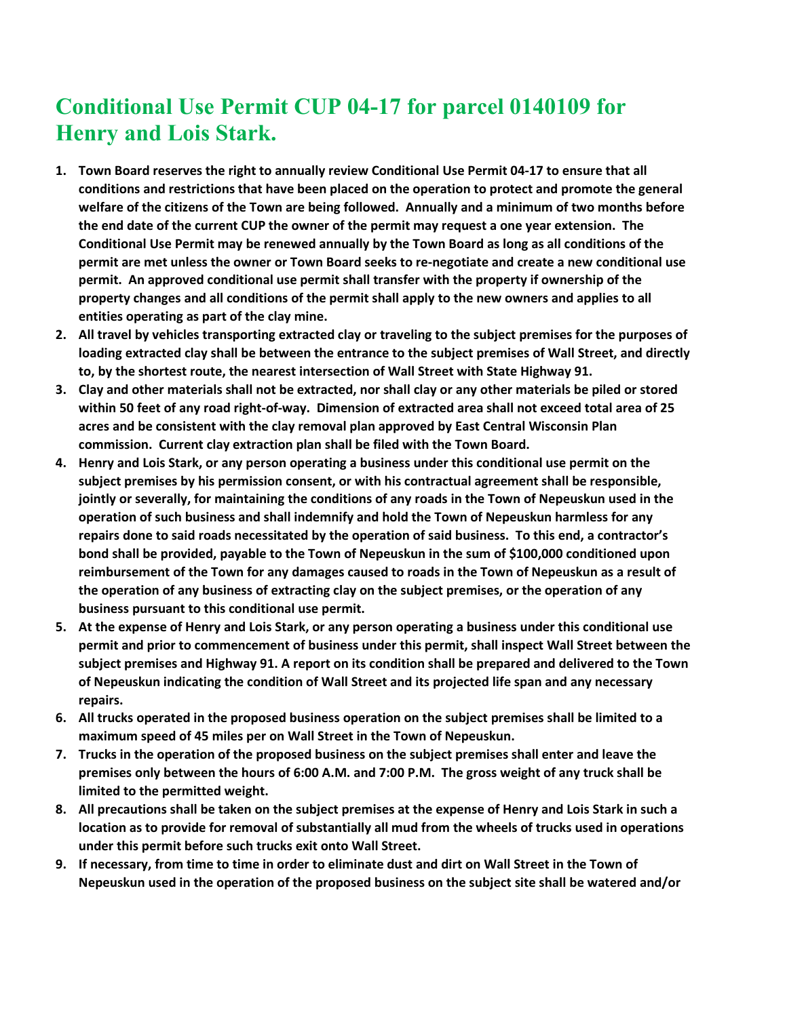## **Conditional Use Permit CUP 04-17 for parcel 0140109 for Henry and Lois Stark.**

- **1. Town Board reserves the right to annually review Conditional Use Permit 04-17 to ensure that all conditions and restrictions that have been placed on the operation to protect and promote the general welfare of the citizens of the Town are being followed. Annually and a minimum of two months before the end date of the current CUP the owner of the permit may request a one year extension. The Conditional Use Permit may be renewed annually by the Town Board as long as all conditions of the permit are met unless the owner or Town Board seeks to re-negotiate and create a new conditional use permit. An approved conditional use permit shall transfer with the property if ownership of the property changes and all conditions of the permit shall apply to the new owners and applies to all entities operating as part of the clay mine.**
- **2. All travel by vehicles transporting extracted clay or traveling to the subject premises for the purposes of loading extracted clay shall be between the entrance to the subject premises of Wall Street, and directly to, by the shortest route, the nearest intersection of Wall Street with State Highway 91.**
- **3. Clay and other materials shall not be extracted, nor shall clay or any other materials be piled or stored within 50 feet of any road right-of-way. Dimension of extracted area shall not exceed total area of 25 acres and be consistent with the clay removal plan approved by East Central Wisconsin Plan commission. Current clay extraction plan shall be filed with the Town Board.**
- **4. Henry and Lois Stark, or any person operating a business under this conditional use permit on the subject premises by his permission consent, or with his contractual agreement shall be responsible, jointly or severally, for maintaining the conditions of any roads in the Town of Nepeuskun used in the operation of such business and shall indemnify and hold the Town of Nepeuskun harmless for any repairs done to said roads necessitated by the operation of said business. To this end, a contractor's bond shall be provided, payable to the Town of Nepeuskun in the sum of \$100,000 conditioned upon reimbursement of the Town for any damages caused to roads in the Town of Nepeuskun as a result of the operation of any business of extracting clay on the subject premises, or the operation of any business pursuant to this conditional use permit.**
- **5. At the expense of Henry and Lois Stark, or any person operating a business under this conditional use permit and prior to commencement of business under this permit, shall inspect Wall Street between the subject premises and Highway 91. A report on its condition shall be prepared and delivered to the Town of Nepeuskun indicating the condition of Wall Street and its projected life span and any necessary repairs.**
- **6. All trucks operated in the proposed business operation on the subject premises shall be limited to a maximum speed of 45 miles per on Wall Street in the Town of Nepeuskun.**
- **7. Trucks in the operation of the proposed business on the subject premises shall enter and leave the premises only between the hours of 6:00 A.M. and 7:00 P.M. The gross weight of any truck shall be limited to the permitted weight.**
- **8. All precautions shall be taken on the subject premises at the expense of Henry and Lois Stark in such a location as to provide for removal of substantially all mud from the wheels of trucks used in operations under this permit before such trucks exit onto Wall Street.**
- **9. If necessary, from time to time in order to eliminate dust and dirt on Wall Street in the Town of Nepeuskun used in the operation of the proposed business on the subject site shall be watered and/or**